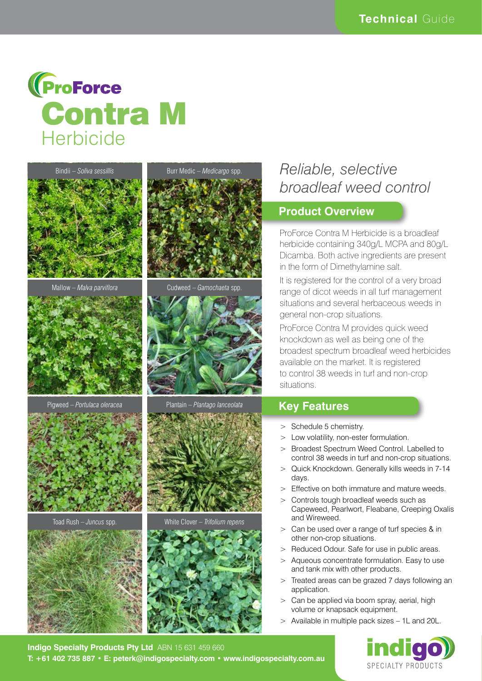





Pigweed – *Portulaca oleracea* Plantain – *Plantago lanceolata*





Mallow – *Malva parviflora* Cudweed – *Gamochaeta* spp.





Toad Rush – *Juncus* spp. White Clover – *Trifolium repens*



# *Reliable, selective broadleaf weed control*

#### **Product Overview**

ProForce Contra M Herbicide is a broadleaf herbicide containing 340g/L MCPA and 80g/L Dicamba. Both active ingredients are present in the form of Dimethylamine salt.

It is registered for the control of a very broad range of dicot weeds in all turf management situations and several herbaceous weeds in general non-crop situations.

ProForce Contra M provides quick weed knockdown as well as being one of the broadest spectrum broadleaf weed herbicides available on the market. It is registered to control 38 weeds in turf and non-crop situations.

### **Key Features**

- > Schedule 5 chemistry.
- > Low volatility, non-ester formulation.
- > Broadest Spectrum Weed Control. Labelled to control 38 weeds in turf and non-crop situations.
- > Quick Knockdown. Generally kills weeds in 7-14 days.
- > Effective on both immature and mature weeds.
- > Controls tough broadleaf weeds such as Capeweed, Pearlwort, Fleabane, Creeping Oxalis and Wireweed.
- > Can be used over a range of turf species & in other non-crop situations.
- > Reduced Odour. Safe for use in public areas.
- > Aqueous concentrate formulation. Easy to use and tank mix with other products.
- > Treated areas can be grazed 7 days following an application.
- > Can be applied via boom spray, aerial, high volume or knapsack equipment.
- > Available in multiple pack sizes 1L and 20L.



**Indigo Specialty Products Pty Ltd** ABN 15 631 459 660 **T: +61 402 735 887 • E: peterk@indigospecialty.com • www.indigospecialty.com.au**